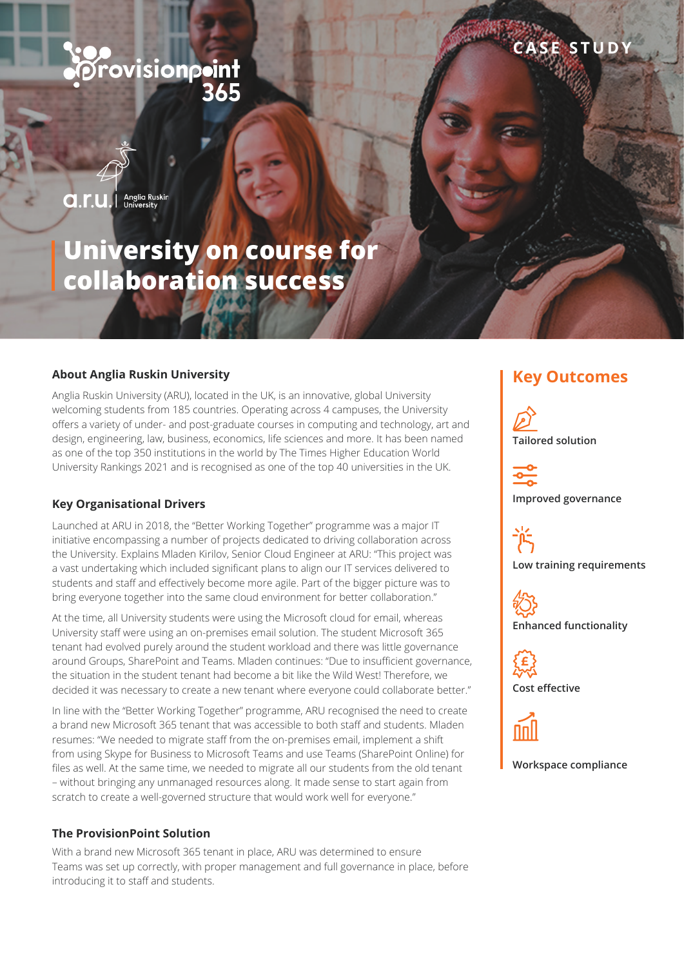# *<u>Provisionpoint</u>*

Anglia Ruskin<br>University a.r.u.l

## **University on course for collaboration success**

## About Anglia Ruskin University **Key Outcomes**

Anglia Ruskin University (ARU), located in the UK, is an innovative, global University welcoming students from 185 countries. Operating across 4 campuses, the University offers a variety of under- and post-graduate courses in computing and technology, art and design, engineering, law, business, economics, life sciences and more. It has been named as one of the top 350 institutions in the world by The Times Higher Education World University Rankings 2021 and is recognised as one of the top 40 universities in the UK.

#### **Key Organisational Drivers**

Launched at ARU in 2018, the "Better Working Together" programme was a major IT initiative encompassing a number of projects dedicated to driving collaboration across the University. Explains Mladen Kirilov, Senior Cloud Engineer at ARU: "This project was a vast undertaking which included significant plans to align our IT services delivered to students and staff and effectively become more agile. Part of the bigger picture was to bring everyone together into the same cloud environment for better collaboration."

At the time, all University students were using the Microsoft cloud for email, whereas University staff were using an on-premises email solution. The student Microsoft 365 tenant had evolved purely around the student workload and there was little governance around Groups, SharePoint and Teams. Mladen continues: "Due to insufficient governance, the situation in the student tenant had become a bit like the Wild West! Therefore, we decided it was necessary to create a new tenant where everyone could collaborate better."

In line with the "Better Working Together" programme, ARU recognised the need to create a brand new Microsoft 365 tenant that was accessible to both staff and students. Mladen resumes: "We needed to migrate staff from the on-premises email, implement a shift from using Skype for Business to Microsoft Teams and use Teams (SharePoint Online) for files as well. At the same time, we needed to migrate all our students from the old tenant – without bringing any unmanaged resources along. It made sense to start again from scratch to create a well-governed structure that would work well for everyone."

#### **The ProvisionPoint Solution**

With a brand new Microsoft 365 tenant in place, ARU was determined to ensure Teams was set up correctly, with proper management and full governance in place, before introducing it to staff and students.

**CASE STUDY**

**Tailored solution**

**Improved governance**

**Low training requirements**





**Cost effective**



**Workspace compliance**